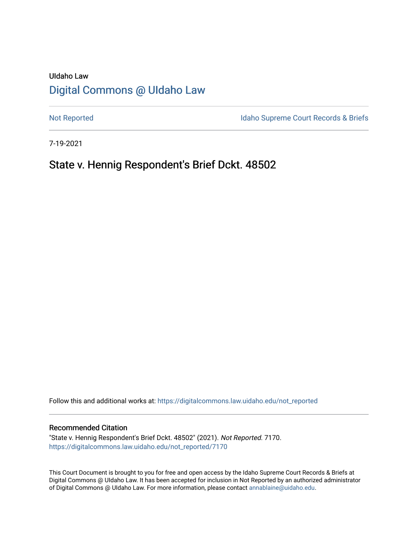# UIdaho Law [Digital Commons @ UIdaho Law](https://digitalcommons.law.uidaho.edu/)

[Not Reported](https://digitalcommons.law.uidaho.edu/not_reported) **Idaho Supreme Court Records & Briefs** 

7-19-2021

## State v. Hennig Respondent's Brief Dckt. 48502

Follow this and additional works at: [https://digitalcommons.law.uidaho.edu/not\\_reported](https://digitalcommons.law.uidaho.edu/not_reported?utm_source=digitalcommons.law.uidaho.edu%2Fnot_reported%2F7170&utm_medium=PDF&utm_campaign=PDFCoverPages) 

#### Recommended Citation

"State v. Hennig Respondent's Brief Dckt. 48502" (2021). Not Reported. 7170. [https://digitalcommons.law.uidaho.edu/not\\_reported/7170](https://digitalcommons.law.uidaho.edu/not_reported/7170?utm_source=digitalcommons.law.uidaho.edu%2Fnot_reported%2F7170&utm_medium=PDF&utm_campaign=PDFCoverPages)

This Court Document is brought to you for free and open access by the Idaho Supreme Court Records & Briefs at Digital Commons @ UIdaho Law. It has been accepted for inclusion in Not Reported by an authorized administrator of Digital Commons @ UIdaho Law. For more information, please contact [annablaine@uidaho.edu](mailto:annablaine@uidaho.edu).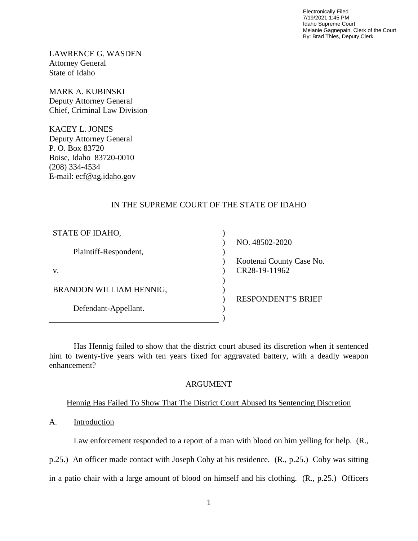Electronically Filed 7/19/2021 1:45 PM Idaho Supreme Court Melanie Gagnepain, Clerk of the Court By: Brad Thies, Deputy Clerk

LAWRENCE G. WASDEN Attorney General State of Idaho

MARK A. KUBINSKI Deputy Attorney General Chief, Criminal Law Division

KACEY L. JONES Deputy Attorney General P. O. Box 83720 Boise, Idaho 83720-0010 (208) 334-4534 E-mail: ecf@ag.idaho.gov

### IN THE SUPREME COURT OF THE STATE OF IDAHO

| STATE OF IDAHO,         |                           |
|-------------------------|---------------------------|
|                         | NO. 48502-2020            |
| Plaintiff-Respondent,   |                           |
|                         | Kootenai County Case No.  |
| V.                      | CR28-19-11962             |
|                         |                           |
| BRANDON WILLIAM HENNIG, |                           |
|                         | <b>RESPONDENT'S BRIEF</b> |
| Defendant-Appellant.    |                           |
|                         |                           |

Has Hennig failed to show that the district court abused its discretion when it sentenced him to twenty-five years with ten years fixed for aggravated battery, with a deadly weapon enhancement?

### ARGUMENT

### Hennig Has Failed To Show That The District Court Abused Its Sentencing Discretion

#### A. Introduction

Law enforcement responded to a report of a man with blood on him yelling for help. (R.,

p.25.) An officer made contact with Joseph Coby at his residence. (R., p.25.) Coby was sitting

in a patio chair with a large amount of blood on himself and his clothing. (R., p.25.) Officers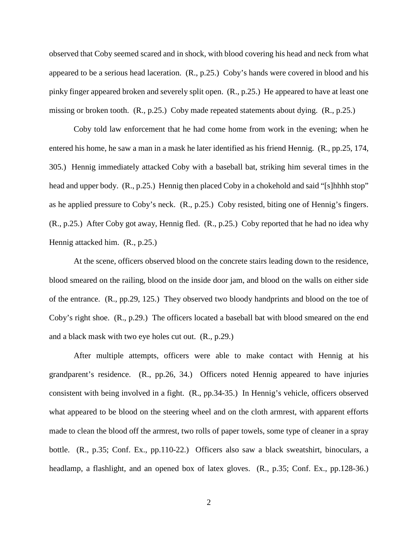observed that Coby seemed scared and in shock, with blood covering his head and neck from what appeared to be a serious head laceration. (R., p.25.) Coby's hands were covered in blood and his pinky finger appeared broken and severely split open. (R., p.25.) He appeared to have at least one missing or broken tooth. (R., p.25.) Coby made repeated statements about dying. (R., p.25.)

Coby told law enforcement that he had come home from work in the evening; when he entered his home, he saw a man in a mask he later identified as his friend Hennig. (R., pp.25, 174, 305.) Hennig immediately attacked Coby with a baseball bat, striking him several times in the head and upper body.  $(R., p.25.)$  Hennig then placed Coby in a chokehold and said "[s]hhhh stop" as he applied pressure to Coby's neck. (R., p.25.) Coby resisted, biting one of Hennig's fingers. (R., p.25.) After Coby got away, Hennig fled. (R., p.25.) Coby reported that he had no idea why Hennig attacked him. (R., p.25.)

At the scene, officers observed blood on the concrete stairs leading down to the residence, blood smeared on the railing, blood on the inside door jam, and blood on the walls on either side of the entrance. (R., pp.29, 125.) They observed two bloody handprints and blood on the toe of Coby's right shoe. (R., p.29.) The officers located a baseball bat with blood smeared on the end and a black mask with two eye holes cut out. (R., p.29.)

After multiple attempts, officers were able to make contact with Hennig at his grandparent's residence. (R., pp.26, 34.) Officers noted Hennig appeared to have injuries consistent with being involved in a fight. (R., pp.34-35.) In Hennig's vehicle, officers observed what appeared to be blood on the steering wheel and on the cloth armrest, with apparent efforts made to clean the blood off the armrest, two rolls of paper towels, some type of cleaner in a spray bottle. (R., p.35; Conf. Ex., pp.110-22.) Officers also saw a black sweatshirt, binoculars, a headlamp, a flashlight, and an opened box of latex gloves. (R., p.35; Conf. Ex., pp.128-36.)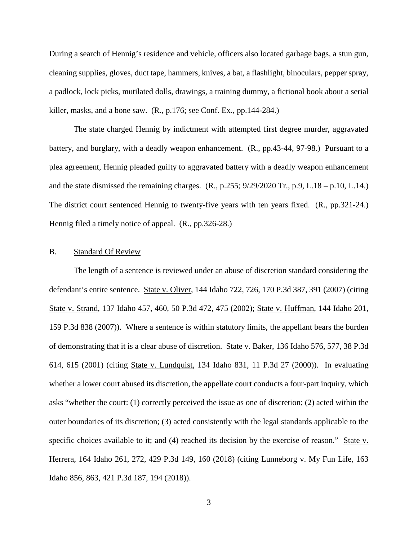During a search of Hennig's residence and vehicle, officers also located garbage bags, a stun gun, cleaning supplies, gloves, duct tape, hammers, knives, a bat, a flashlight, binoculars, pepper spray, a padlock, lock picks, mutilated dolls, drawings, a training dummy, a fictional book about a serial killer, masks, and a bone saw.  $(R., p.176; see Conf. Ex., pp.144-284.)$ 

The state charged Hennig by indictment with attempted first degree murder, aggravated battery, and burglary, with a deadly weapon enhancement. (R., pp.43-44, 97-98.) Pursuant to a plea agreement, Hennig pleaded guilty to aggravated battery with a deadly weapon enhancement and the state dismissed the remaining charges.  $(R., p.255; 9/29/2020 \text{ Tr.}, p.9, L.18 - p.10, L.14.)$ The district court sentenced Hennig to twenty-five years with ten years fixed. (R., pp.321-24.) Hennig filed a timely notice of appeal. (R., pp.326-28.)

#### B. Standard Of Review

The length of a sentence is reviewed under an abuse of discretion standard considering the defendant's entire sentence. State v. Oliver, 144 Idaho 722, 726, 170 P.3d 387, 391 (2007) (citing State v. Strand, 137 Idaho 457, 460, 50 P.3d 472, 475 (2002); State v. Huffman, 144 Idaho 201, 159 P.3d 838 (2007)). Where a sentence is within statutory limits, the appellant bears the burden of demonstrating that it is a clear abuse of discretion. State v. Baker, 136 Idaho 576, 577, 38 P.3d 614, 615 (2001) (citing State v. Lundquist, 134 Idaho 831, 11 P.3d 27 (2000)). In evaluating whether a lower court abused its discretion, the appellate court conducts a four-part inquiry, which asks "whether the court: (1) correctly perceived the issue as one of discretion; (2) acted within the outer boundaries of its discretion; (3) acted consistently with the legal standards applicable to the specific choices available to it; and (4) reached its decision by the exercise of reason." State v. Herrera, 164 Idaho 261, 272, 429 P.3d 149, 160 (2018) (citing Lunneborg v. My Fun Life, 163 Idaho 856, 863, 421 P.3d 187, 194 (2018)).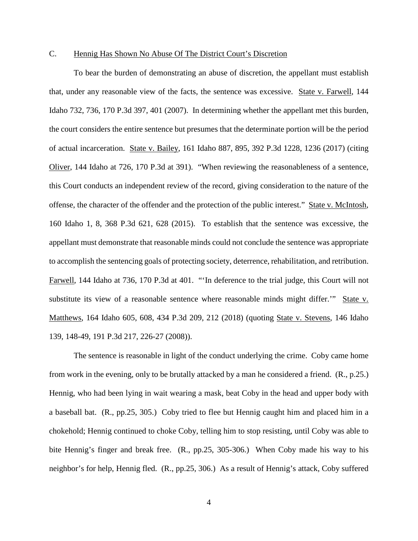#### C. Hennig Has Shown No Abuse Of The District Court's Discretion

To bear the burden of demonstrating an abuse of discretion, the appellant must establish that, under any reasonable view of the facts, the sentence was excessive. State v. Farwell, 144 Idaho 732, 736, 170 P.3d 397, 401 (2007). In determining whether the appellant met this burden, the court considers the entire sentence but presumes that the determinate portion will be the period of actual incarceration. State v. Bailey, 161 Idaho 887, 895, 392 P.3d 1228, 1236 (2017) (citing Oliver, 144 Idaho at 726, 170 P.3d at 391). "When reviewing the reasonableness of a sentence, this Court conducts an independent review of the record, giving consideration to the nature of the offense, the character of the offender and the protection of the public interest." State v. McIntosh, 160 Idaho 1, 8, 368 P.3d 621, 628 (2015). To establish that the sentence was excessive, the appellant must demonstrate that reasonable minds could not conclude the sentence was appropriate to accomplish the sentencing goals of protecting society, deterrence, rehabilitation, and retribution. Farwell, 144 Idaho at 736, 170 P.3d at 401. "'In deference to the trial judge, this Court will not substitute its view of a reasonable sentence where reasonable minds might differ.'" State v. Matthews, 164 Idaho 605, 608, 434 P.3d 209, 212 (2018) (quoting State v. Stevens, 146 Idaho 139, 148-49, 191 P.3d 217, 226-27 (2008)).

The sentence is reasonable in light of the conduct underlying the crime. Coby came home from work in the evening, only to be brutally attacked by a man he considered a friend. (R., p.25.) Hennig, who had been lying in wait wearing a mask, beat Coby in the head and upper body with a baseball bat. (R., pp.25, 305.) Coby tried to flee but Hennig caught him and placed him in a chokehold; Hennig continued to choke Coby, telling him to stop resisting, until Coby was able to bite Hennig's finger and break free. (R., pp.25, 305-306.) When Coby made his way to his neighbor's for help, Hennig fled. (R., pp.25, 306.) As a result of Hennig's attack, Coby suffered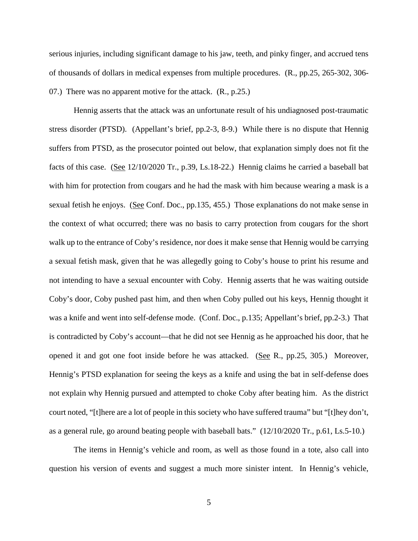serious injuries, including significant damage to his jaw, teeth, and pinky finger, and accrued tens of thousands of dollars in medical expenses from multiple procedures. (R., pp.25, 265-302, 306- 07.) There was no apparent motive for the attack. (R., p.25.)

Hennig asserts that the attack was an unfortunate result of his undiagnosed post-traumatic stress disorder (PTSD). (Appellant's brief, pp.2-3, 8-9.) While there is no dispute that Hennig suffers from PTSD, as the prosecutor pointed out below, that explanation simply does not fit the facts of this case. (See 12/10/2020 Tr., p.39, Ls.18-22.) Hennig claims he carried a baseball bat with him for protection from cougars and he had the mask with him because wearing a mask is a sexual fetish he enjoys. (See Conf. Doc., pp.135, 455.) Those explanations do not make sense in the context of what occurred; there was no basis to carry protection from cougars for the short walk up to the entrance of Coby's residence, nor does it make sense that Hennig would be carrying a sexual fetish mask, given that he was allegedly going to Coby's house to print his resume and not intending to have a sexual encounter with Coby. Hennig asserts that he was waiting outside Coby's door, Coby pushed past him, and then when Coby pulled out his keys, Hennig thought it was a knife and went into self-defense mode. (Conf. Doc., p.135; Appellant's brief, pp.2-3.) That is contradicted by Coby's account—that he did not see Hennig as he approached his door, that he opened it and got one foot inside before he was attacked. (See R., pp.25, 305.) Moreover, Hennig's PTSD explanation for seeing the keys as a knife and using the bat in self-defense does not explain why Hennig pursued and attempted to choke Coby after beating him. As the district court noted, "[t]here are a lot of people in this society who have suffered trauma" but "[t]hey don't, as a general rule, go around beating people with baseball bats." (12/10/2020 Tr., p.61, Ls.5-10.)

The items in Hennig's vehicle and room, as well as those found in a tote, also call into question his version of events and suggest a much more sinister intent. In Hennig's vehicle,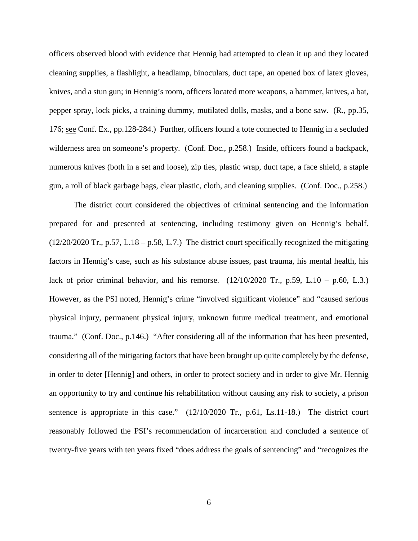officers observed blood with evidence that Hennig had attempted to clean it up and they located cleaning supplies, a flashlight, a headlamp, binoculars, duct tape, an opened box of latex gloves, knives, and a stun gun; in Hennig's room, officers located more weapons, a hammer, knives, a bat, pepper spray, lock picks, a training dummy, mutilated dolls, masks, and a bone saw. (R., pp.35, 176; see Conf. Ex., pp.128-284.) Further, officers found a tote connected to Hennig in a secluded wilderness area on someone's property. (Conf. Doc., p.258.) Inside, officers found a backpack, numerous knives (both in a set and loose), zip ties, plastic wrap, duct tape, a face shield, a staple gun, a roll of black garbage bags, clear plastic, cloth, and cleaning supplies. (Conf. Doc., p.258.)

The district court considered the objectives of criminal sentencing and the information prepared for and presented at sentencing, including testimony given on Hennig's behalf. (12/20/2020 Tr., p.57, L.18 – p.58, L.7.) The district court specifically recognized the mitigating factors in Hennig's case, such as his substance abuse issues, past trauma, his mental health, his lack of prior criminal behavior, and his remorse.  $(12/10/2020 \text{ Tr}$ , p.59, L.10 – p.60, L.3.) However, as the PSI noted, Hennig's crime "involved significant violence" and "caused serious physical injury, permanent physical injury, unknown future medical treatment, and emotional trauma." (Conf. Doc., p.146.) "After considering all of the information that has been presented, considering all of the mitigating factors that have been brought up quite completely by the defense, in order to deter [Hennig] and others, in order to protect society and in order to give Mr. Hennig an opportunity to try and continue his rehabilitation without causing any risk to society, a prison sentence is appropriate in this case."  $(12/10/2020 \text{ Tr.}, \text{p.61}, \text{Ls.11-18.})$  The district court reasonably followed the PSI's recommendation of incarceration and concluded a sentence of twenty-five years with ten years fixed "does address the goals of sentencing" and "recognizes the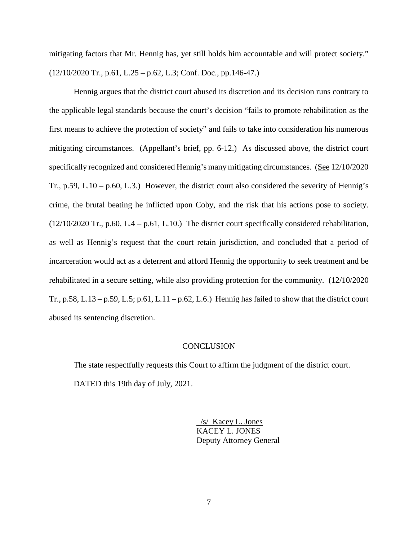mitigating factors that Mr. Hennig has, yet still holds him accountable and will protect society."  $(12/10/2020 \text{ Tr}$ , p.61, L.25 – p.62, L.3; Conf. Doc., pp.146-47.)

Hennig argues that the district court abused its discretion and its decision runs contrary to the applicable legal standards because the court's decision "fails to promote rehabilitation as the first means to achieve the protection of society" and fails to take into consideration his numerous mitigating circumstances. (Appellant's brief, pp. 6-12.) As discussed above, the district court specifically recognized and considered Hennig's many mitigating circumstances. (See 12/10/2020 Tr., p.59, L.10 – p.60, L.3.) However, the district court also considered the severity of Hennig's crime, the brutal beating he inflicted upon Coby, and the risk that his actions pose to society. (12/10/2020 Tr., p.60, L.4 – p.61, L.10.) The district court specifically considered rehabilitation, as well as Hennig's request that the court retain jurisdiction, and concluded that a period of incarceration would act as a deterrent and afford Hennig the opportunity to seek treatment and be rehabilitated in a secure setting, while also providing protection for the community. (12/10/2020 Tr., p.58, L.13 – p.59, L.5; p.61, L.11 – p.62, L.6.) Hennig has failed to show that the district court abused its sentencing discretion.

#### **CONCLUSION**

The state respectfully requests this Court to affirm the judgment of the district court. DATED this 19th day of July, 2021.

> /s/ Kacey L. Jones KACEY L. JONES Deputy Attorney General